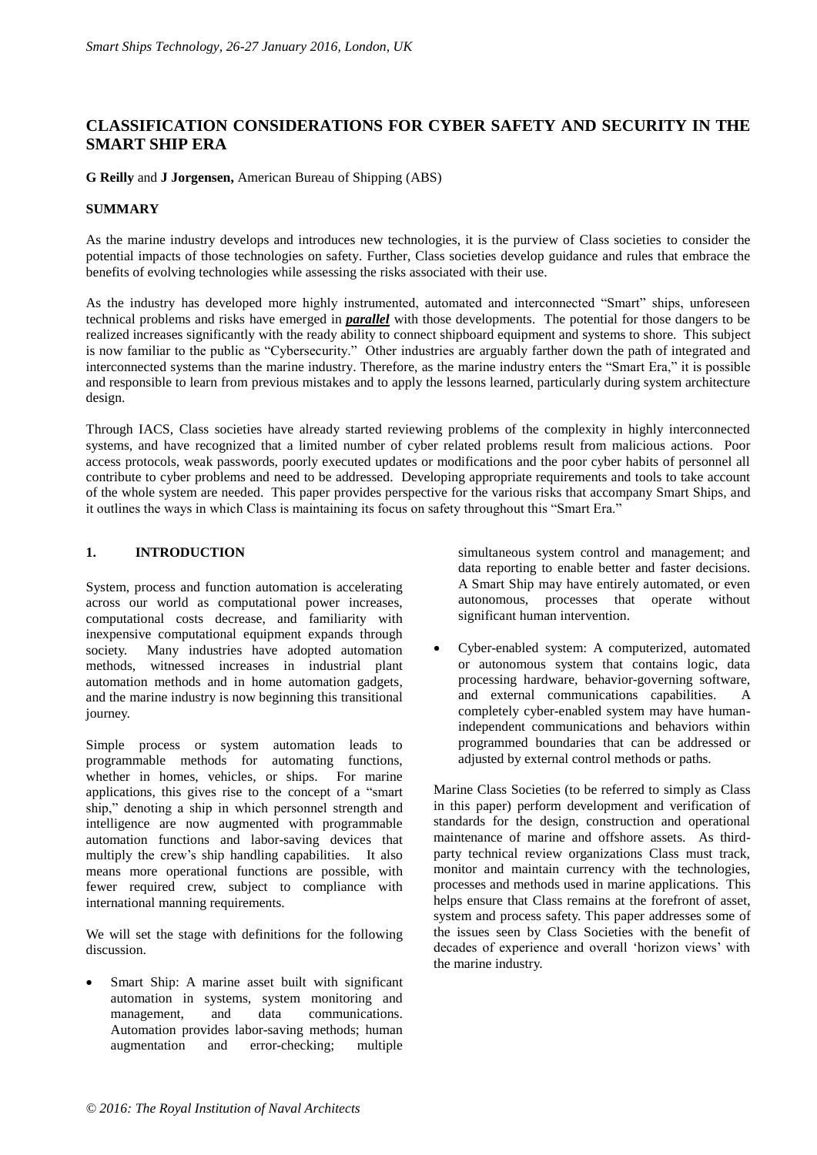## **CLASSIFICATION CONSIDERATIONS FOR CYBER SAFETY AND SECURITY IN THE SMART SHIP ERA**

#### **G Reilly** and **J Jorgensen,** American Bureau of Shipping (ABS)

#### **SUMMARY**

As the marine industry develops and introduces new technologies, it is the purview of Class societies to consider the potential impacts of those technologies on safety. Further, Class societies develop guidance and rules that embrace the benefits of evolving technologies while assessing the risks associated with their use.

As the industry has developed more highly instrumented, automated and interconnected "Smart" ships, unforeseen technical problems and risks have emerged in *parallel* with those developments. The potential for those dangers to be realized increases significantly with the ready ability to connect shipboard equipment and systems to shore. This subject is now familiar to the public as "Cybersecurity." Other industries are arguably farther down the path of integrated and interconnected systems than the marine industry. Therefore, as the marine industry enters the "Smart Era," it is possible and responsible to learn from previous mistakes and to apply the lessons learned, particularly during system architecture design.

Through IACS, Class societies have already started reviewing problems of the complexity in highly interconnected systems, and have recognized that a limited number of cyber related problems result from malicious actions. Poor access protocols, weak passwords, poorly executed updates or modifications and the poor cyber habits of personnel all contribute to cyber problems and need to be addressed. Developing appropriate requirements and tools to take account of the whole system are needed. This paper provides perspective for the various risks that accompany Smart Ships, and it outlines the ways in which Class is maintaining its focus on safety throughout this "Smart Era."

## **1. INTRODUCTION**

System, process and function automation is accelerating across our world as computational power increases, computational costs decrease, and familiarity with inexpensive computational equipment expands through society. Many industries have adopted automation methods, witnessed increases in industrial plant automation methods and in home automation gadgets, and the marine industry is now beginning this transitional journey.

Simple process or system automation leads to programmable methods for automating functions, whether in homes, vehicles, or ships. For marine applications, this gives rise to the concept of a "smart ship," denoting a ship in which personnel strength and intelligence are now augmented with programmable automation functions and labor-saving devices that multiply the crew's ship handling capabilities. It also means more operational functions are possible, with fewer required crew, subject to compliance with international manning requirements.

We will set the stage with definitions for the following discussion.

 Smart Ship: A marine asset built with significant automation in systems, system monitoring and management, and data communications. Automation provides labor-saving methods; human augmentation and error-checking; multiple

simultaneous system control and management; and data reporting to enable better and faster decisions. A Smart Ship may have entirely automated, or even autonomous, processes that operate without significant human intervention.

 Cyber-enabled system: A computerized, automated or autonomous system that contains logic, data processing hardware, behavior-governing software, and external communications capabilities. A completely cyber-enabled system may have humanindependent communications and behaviors within programmed boundaries that can be addressed or adjusted by external control methods or paths.

Marine Class Societies (to be referred to simply as Class in this paper) perform development and verification of standards for the design, construction and operational maintenance of marine and offshore assets. As thirdparty technical review organizations Class must track, monitor and maintain currency with the technologies, processes and methods used in marine applications. This helps ensure that Class remains at the forefront of asset, system and process safety. This paper addresses some of the issues seen by Class Societies with the benefit of decades of experience and overall 'horizon views' with the marine industry.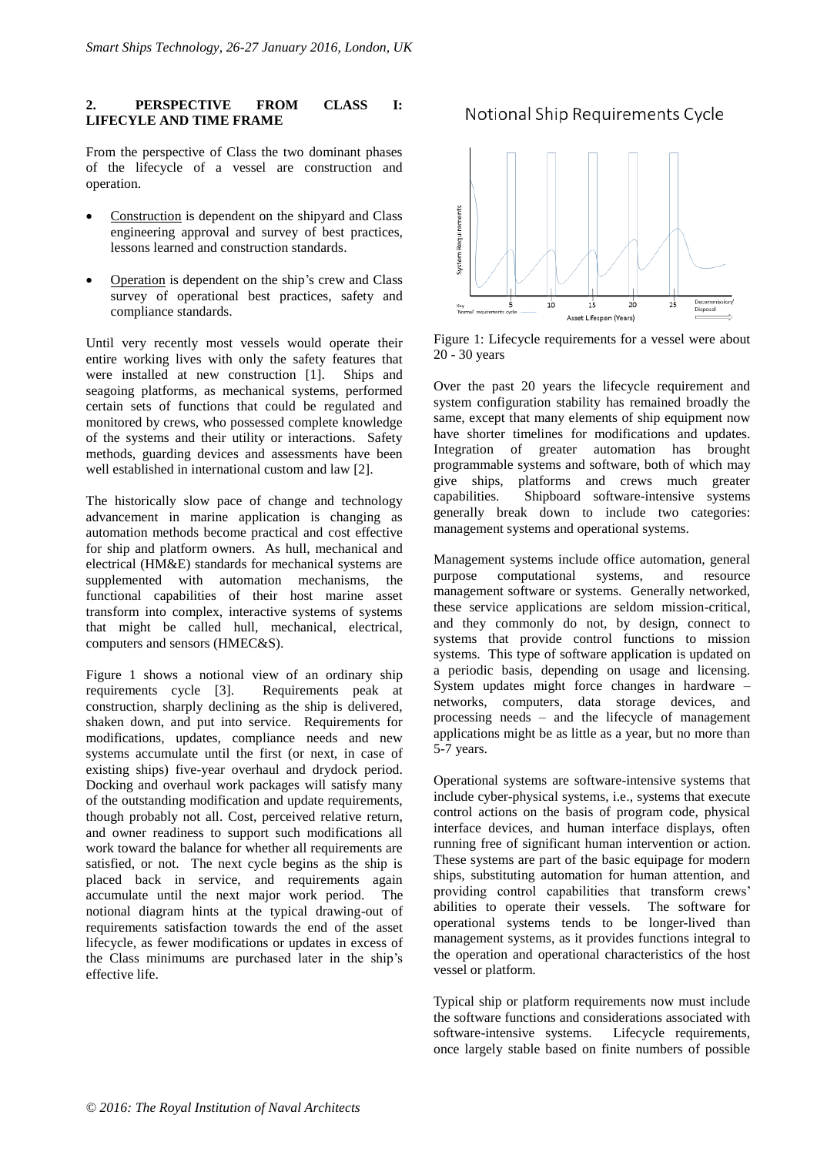#### **2. PERSPECTIVE FROM CLASS I: LIFECYLE AND TIME FRAME**

From the perspective of Class the two dominant phases of the lifecycle of a vessel are construction and operation.

- Construction is dependent on the shipyard and Class engineering approval and survey of best practices, lessons learned and construction standards.
- Operation is dependent on the ship's crew and Class survey of operational best practices, safety and compliance standards.

Until very recently most vessels would operate their entire working lives with only the safety features that were installed at new construction [1]. Ships and seagoing platforms, as mechanical systems, performed certain sets of functions that could be regulated and monitored by crews, who possessed complete knowledge of the systems and their utility or interactions. Safety methods, guarding devices and assessments have been well established in international custom and law [2].

The historically slow pace of change and technology advancement in marine application is changing as automation methods become practical and cost effective for ship and platform owners. As hull, mechanical and electrical (HM&E) standards for mechanical systems are supplemented with automation mechanisms, the functional capabilities of their host marine asset transform into complex, interactive systems of systems that might be called hull, mechanical, electrical, computers and sensors (HMEC&S).

Figure 1 shows a notional view of an ordinary ship requirements cycle [3]. Requirements peak at construction, sharply declining as the ship is delivered, shaken down, and put into service. Requirements for modifications, updates, compliance needs and new systems accumulate until the first (or next, in case of existing ships) five-year overhaul and drydock period. Docking and overhaul work packages will satisfy many of the outstanding modification and update requirements, though probably not all. Cost, perceived relative return, and owner readiness to support such modifications all work toward the balance for whether all requirements are satisfied, or not. The next cycle begins as the ship is placed back in service, and requirements again accumulate until the next major work period. The notional diagram hints at the typical drawing-out of requirements satisfaction towards the end of the asset lifecycle, as fewer modifications or updates in excess of the Class minimums are purchased later in the ship's effective life.

# Notional Ship Requirements Cycle



Figure 1: Lifecycle requirements for a vessel were about 20 - 30 years

Over the past 20 years the lifecycle requirement and system configuration stability has remained broadly the same, except that many elements of ship equipment now have shorter timelines for modifications and updates. Integration of greater automation has brought programmable systems and software, both of which may give ships, platforms and crews much greater capabilities. Shipboard software-intensive systems generally break down to include two categories: management systems and operational systems.

Management systems include office automation, general purpose computational systems, and resource management software or systems. Generally networked, these service applications are seldom mission-critical, and they commonly do not, by design, connect to systems that provide control functions to mission systems. This type of software application is updated on a periodic basis, depending on usage and licensing. System updates might force changes in hardware – networks, computers, data storage devices, and processing needs – and the lifecycle of management applications might be as little as a year, but no more than 5-7 years.

Operational systems are software-intensive systems that include cyber-physical systems, i.e., systems that execute control actions on the basis of program code, physical interface devices, and human interface displays, often running free of significant human intervention or action. These systems are part of the basic equipage for modern ships, substituting automation for human attention, and providing control capabilities that transform crews' abilities to operate their vessels. The software for operational systems tends to be longer-lived than management systems, as it provides functions integral to the operation and operational characteristics of the host vessel or platform.

Typical ship or platform requirements now must include the software functions and considerations associated with software-intensive systems. Lifecycle requirements, once largely stable based on finite numbers of possible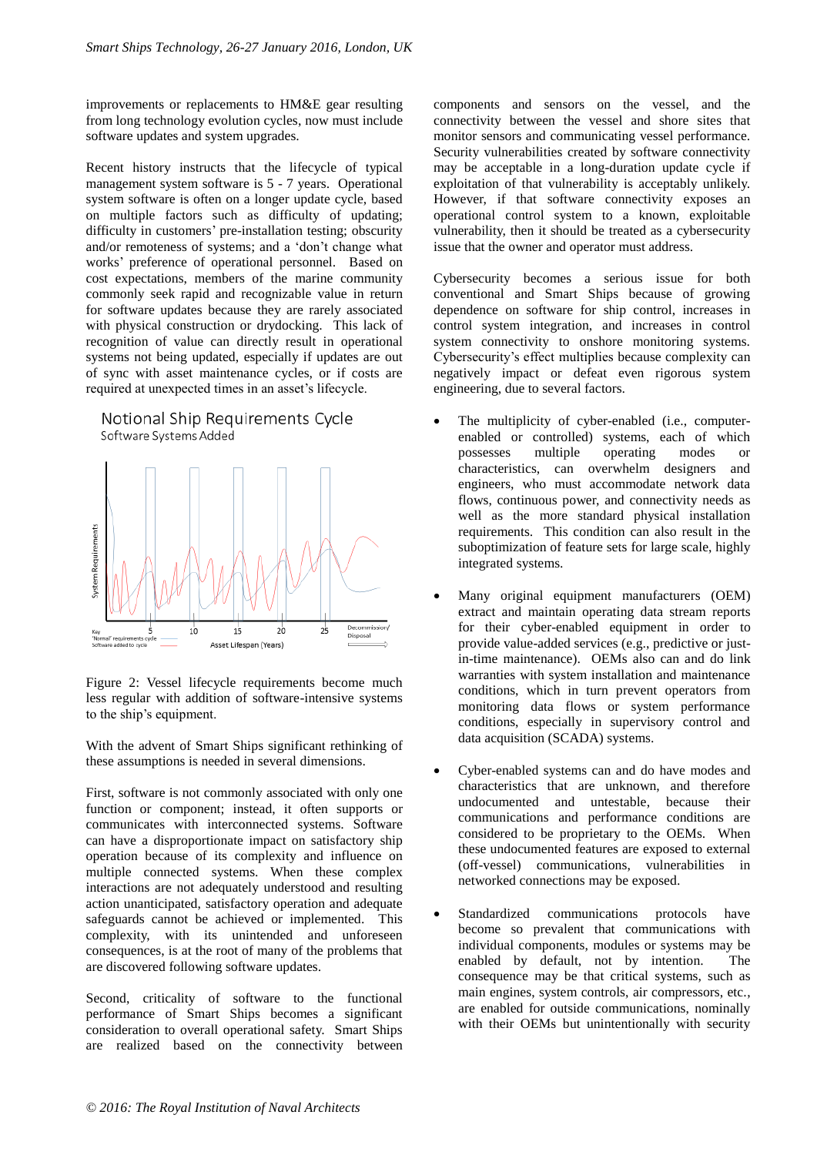improvements or replacements to HM&E gear resulting from long technology evolution cycles, now must include software updates and system upgrades.

Recent history instructs that the lifecycle of typical management system software is 5 - 7 years. Operational system software is often on a longer update cycle, based on multiple factors such as difficulty of updating; difficulty in customers' pre-installation testing; obscurity and/or remoteness of systems; and a 'don't change what works' preference of operational personnel. Based on cost expectations, members of the marine community commonly seek rapid and recognizable value in return for software updates because they are rarely associated with physical construction or drydocking. This lack of recognition of value can directly result in operational systems not being updated, especially if updates are out of sync with asset maintenance cycles, or if costs are required at unexpected times in an asset's lifecycle.





With the advent of Smart Ships significant rethinking of these assumptions is needed in several dimensions.

First, software is not commonly associated with only one function or component; instead, it often supports or communicates with interconnected systems. Software can have a disproportionate impact on satisfactory ship operation because of its complexity and influence on multiple connected systems. When these complex interactions are not adequately understood and resulting action unanticipated, satisfactory operation and adequate safeguards cannot be achieved or implemented. This complexity, with its unintended and unforeseen consequences, is at the root of many of the problems that are discovered following software updates.

Second, criticality of software to the functional performance of Smart Ships becomes a significant consideration to overall operational safety. Smart Ships are realized based on the connectivity between

components and sensors on the vessel, and the connectivity between the vessel and shore sites that monitor sensors and communicating vessel performance. Security vulnerabilities created by software connectivity may be acceptable in a long-duration update cycle if exploitation of that vulnerability is acceptably unlikely. However, if that software connectivity exposes an operational control system to a known, exploitable vulnerability, then it should be treated as a cybersecurity issue that the owner and operator must address.

Cybersecurity becomes a serious issue for both conventional and Smart Ships because of growing dependence on software for ship control, increases in control system integration, and increases in control system connectivity to onshore monitoring systems. Cybersecurity's effect multiplies because complexity can negatively impact or defeat even rigorous system engineering, due to several factors.

- The multiplicity of cyber-enabled (i.e., computerenabled or controlled) systems, each of which possesses multiple operating modes or characteristics, can overwhelm designers and engineers, who must accommodate network data flows, continuous power, and connectivity needs as well as the more standard physical installation requirements. This condition can also result in the suboptimization of feature sets for large scale, highly integrated systems.
- Many original equipment manufacturers (OEM) extract and maintain operating data stream reports for their cyber-enabled equipment in order to provide value-added services (e.g., predictive or justin-time maintenance). OEMs also can and do link warranties with system installation and maintenance conditions, which in turn prevent operators from monitoring data flows or system performance conditions, especially in supervisory control and data acquisition (SCADA) systems.
- Cyber-enabled systems can and do have modes and characteristics that are unknown, and therefore undocumented and untestable, because their communications and performance conditions are considered to be proprietary to the OEMs. When these undocumented features are exposed to external (off-vessel) communications, vulnerabilities in networked connections may be exposed.
- Standardized communications protocols have become so prevalent that communications with individual components, modules or systems may be enabled by default, not by intention. The consequence may be that critical systems, such as main engines, system controls, air compressors, etc., are enabled for outside communications, nominally with their OEMs but unintentionally with security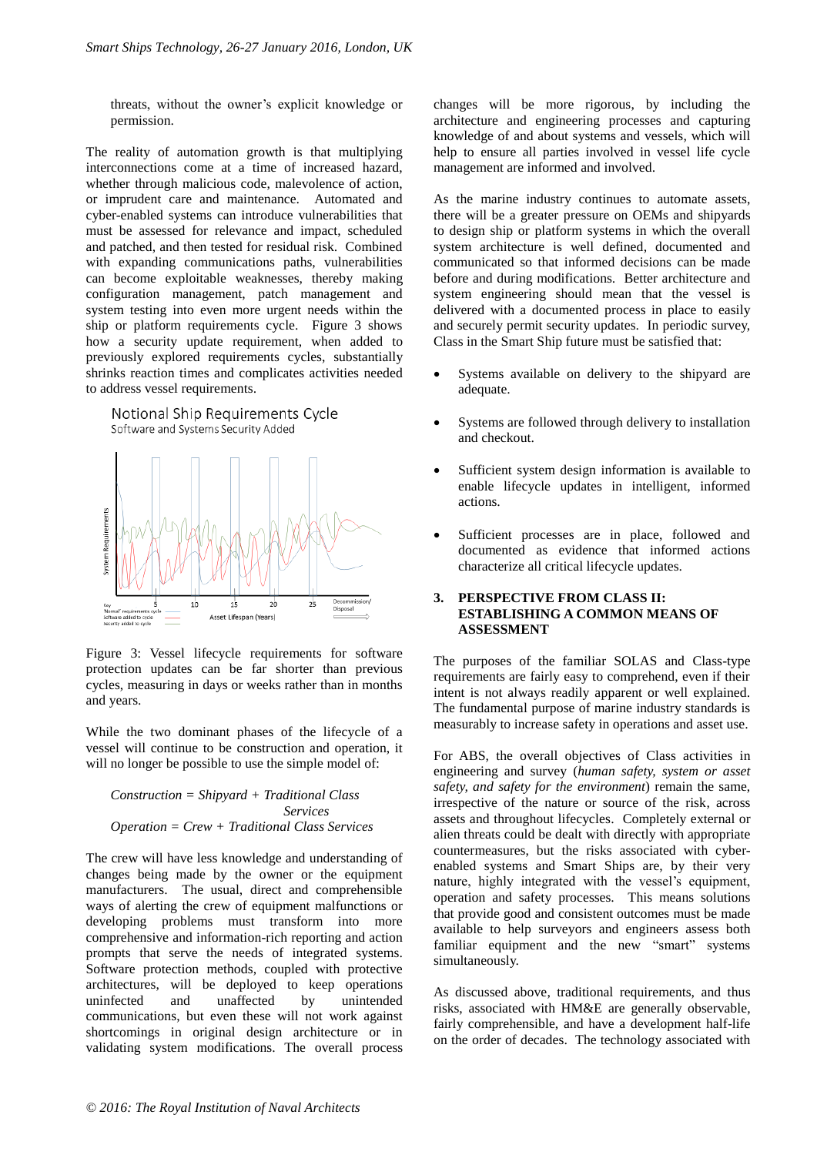threats, without the owner's explicit knowledge or permission.

The reality of automation growth is that multiplying interconnections come at a time of increased hazard, whether through malicious code, malevolence of action, or imprudent care and maintenance. Automated and cyber-enabled systems can introduce vulnerabilities that must be assessed for relevance and impact, scheduled and patched, and then tested for residual risk. Combined with expanding communications paths, vulnerabilities can become exploitable weaknesses, thereby making configuration management, patch management and system testing into even more urgent needs within the ship or platform requirements cycle. Figure 3 shows how a security update requirement, when added to previously explored requirements cycles, substantially shrinks reaction times and complicates activities needed to address vessel requirements.





Figure 3: Vessel lifecycle requirements for software protection updates can be far shorter than previous cycles, measuring in days or weeks rather than in months and years.

While the two dominant phases of the lifecycle of a vessel will continue to be construction and operation, it will no longer be possible to use the simple model of:

*Construction = Shipyard + Traditional Class Services Operation = Crew + Traditional Class Services*

The crew will have less knowledge and understanding of changes being made by the owner or the equipment manufacturers. The usual, direct and comprehensible ways of alerting the crew of equipment malfunctions or developing problems must transform into more comprehensive and information-rich reporting and action prompts that serve the needs of integrated systems. Software protection methods, coupled with protective architectures, will be deployed to keep operations uninfected and unaffected by unintended communications, but even these will not work against shortcomings in original design architecture or in validating system modifications. The overall process

changes will be more rigorous, by including the architecture and engineering processes and capturing knowledge of and about systems and vessels, which will help to ensure all parties involved in vessel life cycle management are informed and involved.

As the marine industry continues to automate assets, there will be a greater pressure on OEMs and shipyards to design ship or platform systems in which the overall system architecture is well defined, documented and communicated so that informed decisions can be made before and during modifications. Better architecture and system engineering should mean that the vessel is delivered with a documented process in place to easily and securely permit security updates. In periodic survey, Class in the Smart Ship future must be satisfied that:

- Systems available on delivery to the shipyard are adequate.
- Systems are followed through delivery to installation and checkout.
- Sufficient system design information is available to enable lifecycle updates in intelligent, informed actions.
- Sufficient processes are in place, followed and documented as evidence that informed actions characterize all critical lifecycle updates.

#### **3. PERSPECTIVE FROM CLASS II: ESTABLISHING A COMMON MEANS OF ASSESSMENT**

The purposes of the familiar SOLAS and Class-type requirements are fairly easy to comprehend, even if their intent is not always readily apparent or well explained. The fundamental purpose of marine industry standards is measurably to increase safety in operations and asset use.

For ABS, the overall objectives of Class activities in engineering and survey (*human safety, system or asset safety, and safety for the environment*) remain the same, irrespective of the nature or source of the risk, across assets and throughout lifecycles. Completely external or alien threats could be dealt with directly with appropriate countermeasures, but the risks associated with cyberenabled systems and Smart Ships are, by their very nature, highly integrated with the vessel's equipment, operation and safety processes. This means solutions that provide good and consistent outcomes must be made available to help surveyors and engineers assess both familiar equipment and the new "smart" systems simultaneously.

As discussed above, traditional requirements, and thus risks, associated with HM&E are generally observable, fairly comprehensible, and have a development half-life on the order of decades. The technology associated with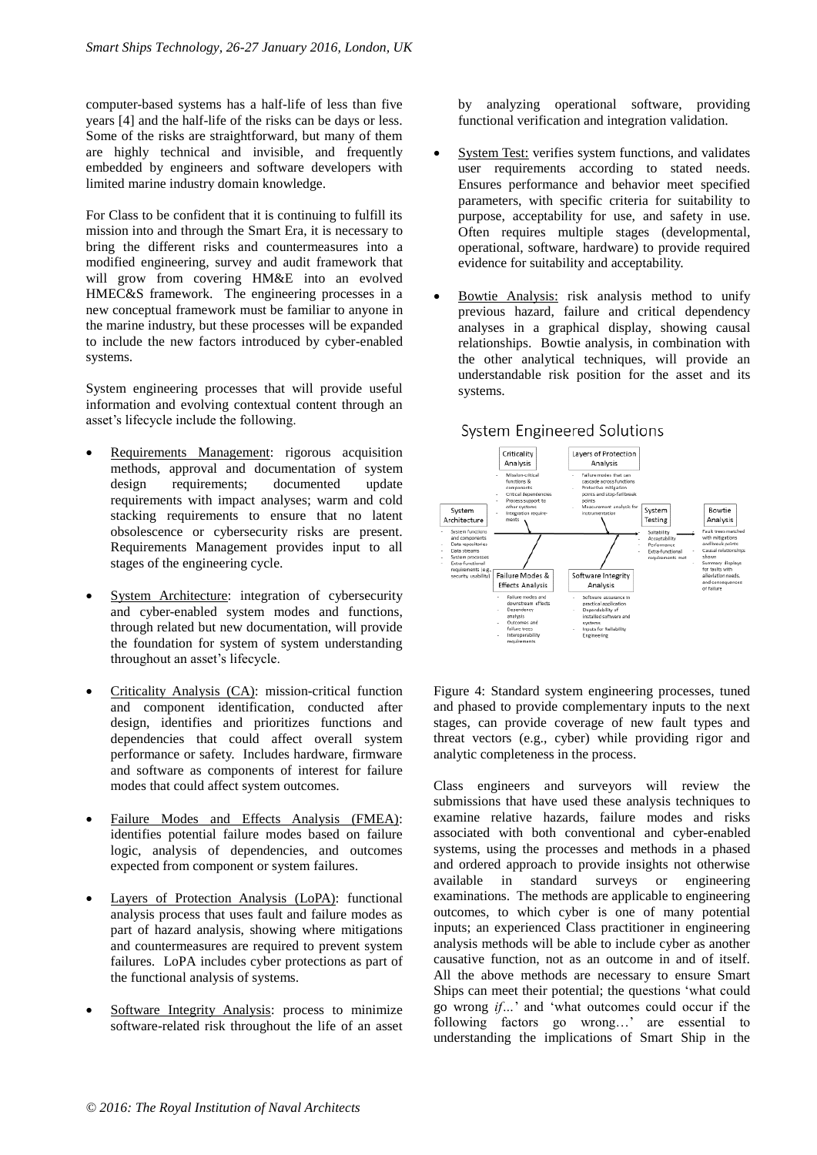computer-based systems has a half-life of less than five years [4] and the half-life of the risks can be days or less. Some of the risks are straightforward, but many of them are highly technical and invisible, and frequently embedded by engineers and software developers with limited marine industry domain knowledge.

For Class to be confident that it is continuing to fulfill its mission into and through the Smart Era, it is necessary to bring the different risks and countermeasures into a modified engineering, survey and audit framework that will grow from covering HM&E into an evolved HMEC&S framework. The engineering processes in a new conceptual framework must be familiar to anyone in the marine industry, but these processes will be expanded to include the new factors introduced by cyber-enabled systems.

System engineering processes that will provide useful information and evolving contextual content through an asset's lifecycle include the following.

- Requirements Management: rigorous acquisition methods, approval and documentation of system design requirements; documented update requirements with impact analyses; warm and cold stacking requirements to ensure that no latent obsolescence or cybersecurity risks are present. Requirements Management provides input to all stages of the engineering cycle.
- System Architecture: integration of cybersecurity and cyber-enabled system modes and functions, through related but new documentation, will provide the foundation for system of system understanding throughout an asset's lifecycle.
- Criticality Analysis (CA): mission-critical function and component identification, conducted after design, identifies and prioritizes functions and dependencies that could affect overall system performance or safety. Includes hardware, firmware and software as components of interest for failure modes that could affect system outcomes.
- Failure Modes and Effects Analysis (FMEA): identifies potential failure modes based on failure logic, analysis of dependencies, and outcomes expected from component or system failures.
- Layers of Protection Analysis (LoPA): functional analysis process that uses fault and failure modes as part of hazard analysis, showing where mitigations and countermeasures are required to prevent system failures. LoPA includes cyber protections as part of the functional analysis of systems.
- Software Integrity Analysis: process to minimize software-related risk throughout the life of an asset

by analyzing operational software, providing functional verification and integration validation.

- System Test: verifies system functions, and validates user requirements according to stated needs. Ensures performance and behavior meet specified parameters, with specific criteria for suitability to purpose, acceptability for use, and safety in use. Often requires multiple stages (developmental, operational, software, hardware) to provide required evidence for suitability and acceptability.
- Bowtie Analysis: risk analysis method to unify previous hazard, failure and critical dependency analyses in a graphical display, showing causal relationships. Bowtie analysis, in combination with the other analytical techniques, will provide an understandable risk position for the asset and its systems.



Figure 4: Standard system engineering processes, tuned and phased to provide complementary inputs to the next stages, can provide coverage of new fault types and threat vectors (e.g., cyber) while providing rigor and analytic completeness in the process.

Class engineers and surveyors will review the submissions that have used these analysis techniques to examine relative hazards, failure modes and risks associated with both conventional and cyber-enabled systems, using the processes and methods in a phased and ordered approach to provide insights not otherwise available in standard surveys or engineering examinations. The methods are applicable to engineering outcomes, to which cyber is one of many potential inputs; an experienced Class practitioner in engineering analysis methods will be able to include cyber as another causative function, not as an outcome in and of itself. All the above methods are necessary to ensure Smart Ships can meet their potential; the questions 'what could go wrong *if…*' and 'what outcomes could occur if the following factors go wrong…' are essential to understanding the implications of Smart Ship in the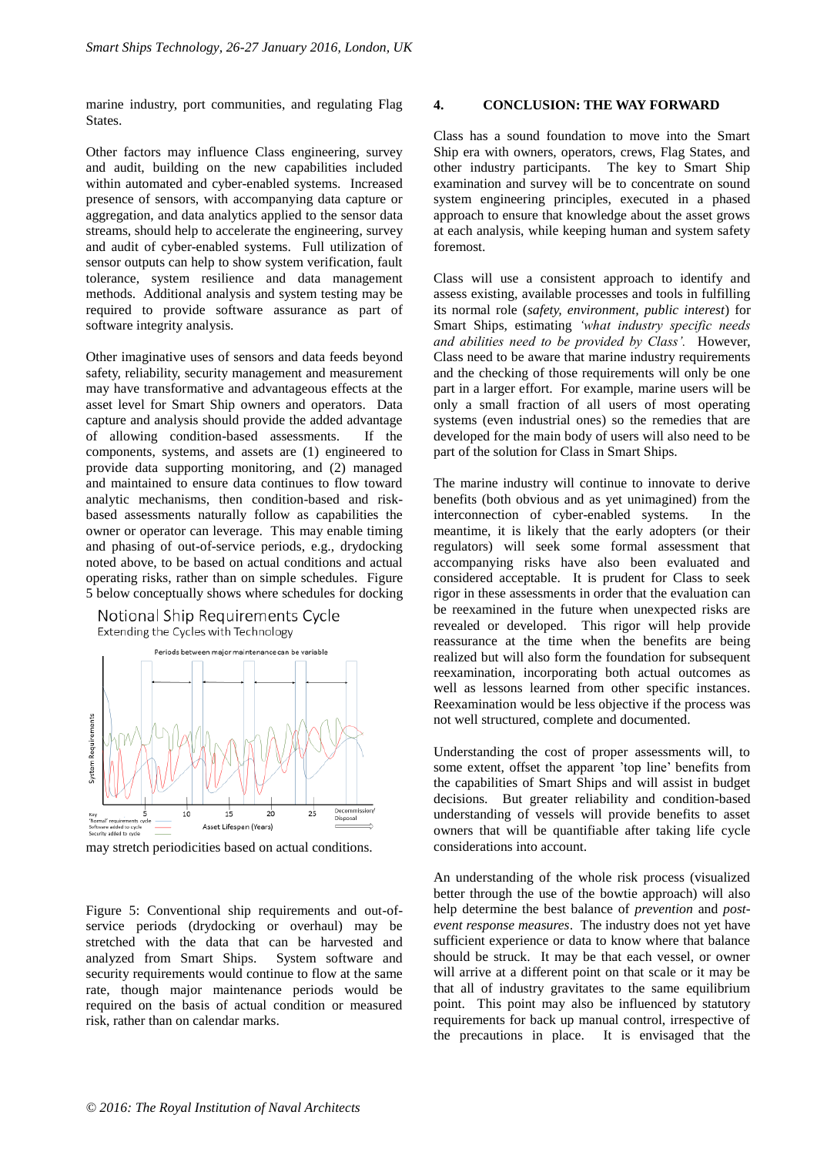marine industry, port communities, and regulating Flag States.

Other factors may influence Class engineering, survey and audit, building on the new capabilities included within automated and cyber-enabled systems. Increased presence of sensors, with accompanying data capture or aggregation, and data analytics applied to the sensor data streams, should help to accelerate the engineering, survey and audit of cyber-enabled systems. Full utilization of sensor outputs can help to show system verification, fault tolerance, system resilience and data management methods. Additional analysis and system testing may be required to provide software assurance as part of software integrity analysis.

Other imaginative uses of sensors and data feeds beyond safety, reliability, security management and measurement may have transformative and advantageous effects at the asset level for Smart Ship owners and operators. Data capture and analysis should provide the added advantage of allowing condition-based assessments. If the components, systems, and assets are (1) engineered to provide data supporting monitoring, and (2) managed and maintained to ensure data continues to flow toward analytic mechanisms, then condition-based and riskbased assessments naturally follow as capabilities the owner or operator can leverage. This may enable timing and phasing of out-of-service periods, e.g., drydocking noted above, to be based on actual conditions and actual operating risks, rather than on simple schedules. Figure 5 below conceptually shows where schedules for docking





may stretch periodicities based on actual conditions.

Figure 5: Conventional ship requirements and out-ofservice periods (drydocking or overhaul) may be stretched with the data that can be harvested and analyzed from Smart Ships. System software and security requirements would continue to flow at the same rate, though major maintenance periods would be required on the basis of actual condition or measured risk, rather than on calendar marks.

#### **4. CONCLUSION: THE WAY FORWARD**

Class has a sound foundation to move into the Smart Ship era with owners, operators, crews, Flag States, and other industry participants. The key to Smart Ship examination and survey will be to concentrate on sound system engineering principles, executed in a phased approach to ensure that knowledge about the asset grows at each analysis, while keeping human and system safety foremost.

Class will use a consistent approach to identify and assess existing, available processes and tools in fulfilling its normal role (*safety, environment, public interest*) for Smart Ships, estimating *'what industry specific needs and abilities need to be provided by Class'.* However, Class need to be aware that marine industry requirements and the checking of those requirements will only be one part in a larger effort. For example, marine users will be only a small fraction of all users of most operating systems (even industrial ones) so the remedies that are developed for the main body of users will also need to be part of the solution for Class in Smart Ships.

The marine industry will continue to innovate to derive benefits (both obvious and as yet unimagined) from the interconnection of cyber-enabled systems. In the meantime, it is likely that the early adopters (or their regulators) will seek some formal assessment that accompanying risks have also been evaluated and considered acceptable. It is prudent for Class to seek rigor in these assessments in order that the evaluation can be reexamined in the future when unexpected risks are revealed or developed. This rigor will help provide reassurance at the time when the benefits are being realized but will also form the foundation for subsequent reexamination, incorporating both actual outcomes as well as lessons learned from other specific instances. Reexamination would be less objective if the process was not well structured, complete and documented.

Understanding the cost of proper assessments will, to some extent, offset the apparent 'top line' benefits from the capabilities of Smart Ships and will assist in budget decisions. But greater reliability and condition-based understanding of vessels will provide benefits to asset owners that will be quantifiable after taking life cycle considerations into account.

An understanding of the whole risk process (visualized better through the use of the bowtie approach) will also help determine the best balance of *prevention* and *postevent response measures*. The industry does not yet have sufficient experience or data to know where that balance should be struck. It may be that each vessel, or owner will arrive at a different point on that scale or it may be that all of industry gravitates to the same equilibrium point. This point may also be influenced by statutory requirements for back up manual control, irrespective of the precautions in place. It is envisaged that the